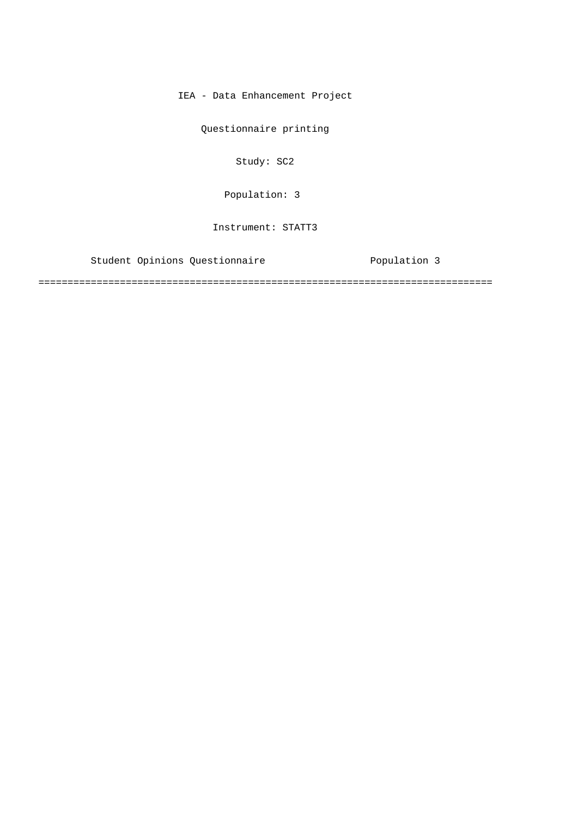IEA - Data Enhancement Project

Questionnaire printing

Study: SC2

Population: 3

Instrument: STATT3

Student Opinions Questionnaire **Exercice Population 3** 

==============================================================================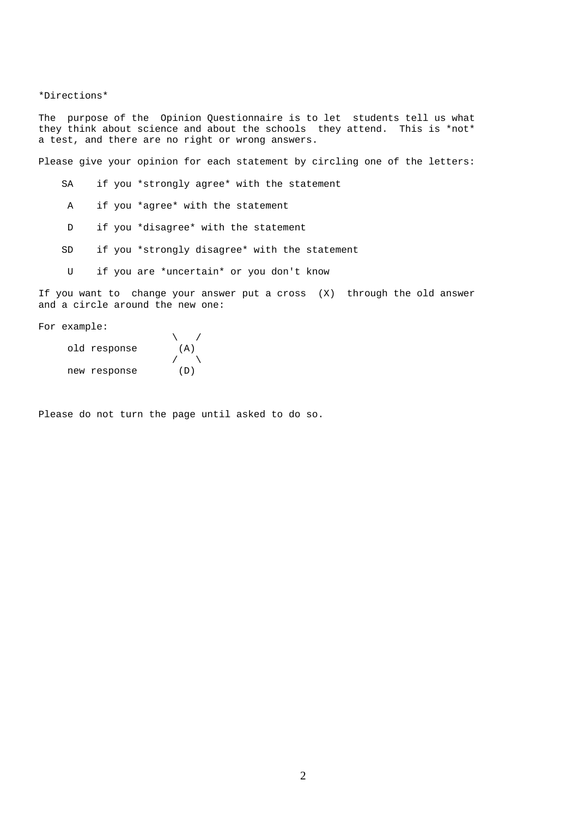## \*Directions\*

The purpose of the Opinion Questionnaire is to let students tell us what they think about science and about the schools they attend. This is \*not\* a test, and there are no right or wrong answers.

Please give your opinion for each statement by circling one of the letters:

- SA if you \*strongly agree\* with the statement
- A if you \*agree\* with the statement
- D if you \*disagree\* with the statement
- SD if you \*strongly disagree\* with the statement
- U if you are \*uncertain\* or you don't know

If you want to change your answer put a cross (X) through the old answer and a circle around the new one:

For example:

| old response | (A) |
|--------------|-----|
|              |     |
| new response | (D) |

Please do not turn the page until asked to do so.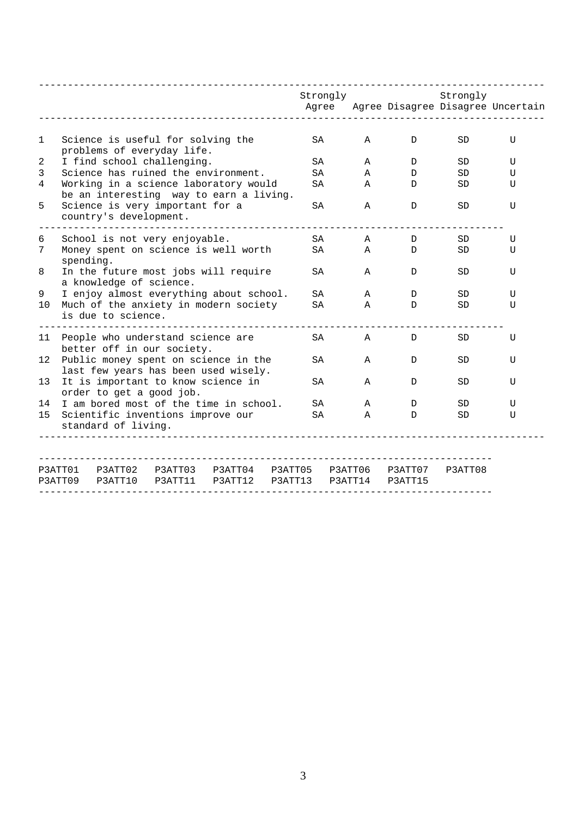|                                                                |           |                          |                                                                    |                                                                                  |                    | Strongly<br>Agree |                    |                    | Strongly  | Agree Disagree Disagree Uncertain |
|----------------------------------------------------------------|-----------|--------------------------|--------------------------------------------------------------------|----------------------------------------------------------------------------------|--------------------|-------------------|--------------------|--------------------|-----------|-----------------------------------|
| $\mathbf{1}$                                                   |           |                          | Science is useful for solving the<br>problems of everyday life.    |                                                                                  |                    | SA                | $\mathbf{A}$       | D                  | <b>SD</b> | U                                 |
| 2                                                              |           |                          | I find school challenging.                                         |                                                                                  |                    | SA                | A                  | D                  | SD.       | U                                 |
| 3                                                              |           |                          |                                                                    | Science has ruined the environment.                                              |                    | SA.               | A                  | D                  | <b>SD</b> | U                                 |
| 4                                                              |           |                          |                                                                    | Working in a science laboratory would<br>be an interesting way to earn a living. |                    | SA                | $\mathbb A$        | D                  | <b>SD</b> | U                                 |
| 5                                                              |           | country's development.   | Science is very important for a                                    |                                                                                  |                    | SA                | Α                  | D                  | SD        | U                                 |
| 6                                                              |           |                          | School is not very enjoyable.                                      |                                                                                  |                    | <b>SA</b>         | Α                  | D                  | <b>SD</b> | U                                 |
| 7                                                              | spending. |                          |                                                                    | Money spent on science is well worth                                             |                    | SA                | Α                  | D                  | SD        | U                                 |
| 8                                                              |           | a knowledge of science.  |                                                                    | In the future most jobs will require                                             |                    | SA                | Α                  | D                  | SD        | U                                 |
| 9                                                              |           |                          |                                                                    | I enjoy almost everything about school.                                          |                    | SA                | A                  | D                  | SD.       | U                                 |
| 10                                                             |           | is due to science.       |                                                                    | Much of the anxiety in modern society                                            |                    | SA                | A                  | D                  | <b>SD</b> | U                                 |
|                                                                |           |                          | 11 People who understand science are<br>better off in our society. |                                                                                  |                    | SA                | Α                  | D                  | SD        | U                                 |
|                                                                |           |                          |                                                                    | 12 Public money spent on science in the<br>last few years has been used wisely.  |                    | SA                | $\mathbf{A}$       | D                  | SD.       | U                                 |
| 13 <sup>°</sup>                                                |           | order to get a good job. |                                                                    | It is important to know science in                                               |                    | SA                | $\mathbf{A}$       | D                  | <b>SD</b> | U                                 |
| 14                                                             |           |                          |                                                                    | I am bored most of the time in school.                                           |                    | SA                | A                  | D                  | SD        | U                                 |
| Scientific inventions improve our<br>15<br>standard of living. |           |                          |                                                                    |                                                                                  |                    | SA.               | A                  | D                  | SD.       | U                                 |
|                                                                |           |                          |                                                                    |                                                                                  |                    |                   |                    |                    |           |                                   |
|                                                                | P3ATT09   | P3ATT10                  | P3ATT01 P3ATT02 P3ATT03<br>P3ATT11                                 | P3ATT04<br>P3ATT12                                                               | P3ATT05<br>P3ATT13 |                   | P3ATT06<br>P3ATT14 | P3ATT07<br>P3ATT15 | P3ATT08   |                                   |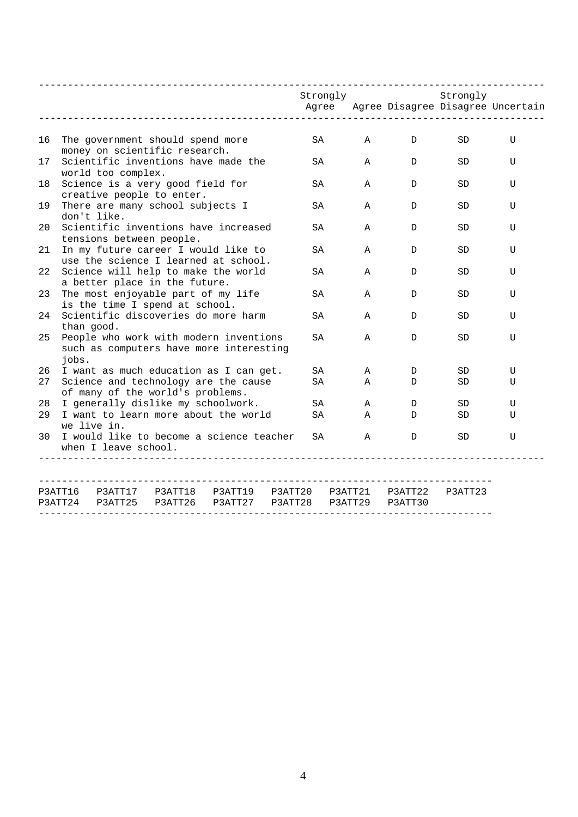|    |                                                                                            |                          |                                                                      | _____________________________                                                     |                    |    | Strongly           |                    | ----------<br>Strongly<br>_____________________________ | Agree Agree Disagree Disagree Uncertain |
|----|--------------------------------------------------------------------------------------------|--------------------------|----------------------------------------------------------------------|-----------------------------------------------------------------------------------|--------------------|----|--------------------|--------------------|---------------------------------------------------------|-----------------------------------------|
| 16 |                                                                                            |                          | The government should spend more                                     |                                                                                   |                    | SA | A                  | D                  | SD                                                      | U                                       |
| 17 | money on scientific research.<br>Scientific inventions have made the<br>world too complex. |                          |                                                                      |                                                                                   |                    |    | $\mathbb A$        | D                  | SD                                                      | U                                       |
| 18 |                                                                                            |                          | Science is a very good field for<br>creative people to enter.        |                                                                                   |                    | SA | Α                  | D                  | SD.                                                     | U                                       |
| 19 |                                                                                            | don't like.              | There are many school subjects I                                     |                                                                                   |                    | SA | A                  | D                  | SD.                                                     | U                                       |
| 20 |                                                                                            | tensions between people. |                                                                      | Scientific inventions have increased                                              |                    | SA | Α                  | D                  | SD.                                                     | U                                       |
| 21 |                                                                                            |                          |                                                                      | In my future career I would like to<br>use the science I learned at school.       |                    | SA | Α                  | D                  | SD                                                      | U                                       |
| 22 |                                                                                            |                          | a better place in the future.                                        | Science will help to make the world                                               |                    | SA | Α                  | D                  | SD                                                      | U                                       |
| 23 |                                                                                            |                          | The most enjoyable part of my life<br>is the time I spend at school. |                                                                                   |                    | SA | A                  | D                  | SD.                                                     | U                                       |
| 24 | than good.                                                                                 |                          |                                                                      | Scientific discoveries do more harm                                               |                    | SA | $\mathsf{A}$       | D                  | SD                                                      | U                                       |
| 25 | jobs.                                                                                      |                          |                                                                      | People who work with modern inventions<br>such as computers have more interesting |                    | SA | Α                  | D                  | SD.                                                     | U                                       |
| 26 |                                                                                            |                          |                                                                      | I want as much education as I can get.                                            |                    | SA | Α                  | D                  | SD                                                      | U                                       |
| 27 |                                                                                            |                          |                                                                      | Science and technology are the cause                                              |                    | SA | Α                  | D                  | SD.                                                     | U                                       |
|    |                                                                                            |                          | of many of the world's problems.                                     |                                                                                   |                    |    |                    |                    |                                                         |                                         |
| 28 |                                                                                            |                          | I generally dislike my schoolwork.                                   |                                                                                   |                    | SA | A                  | D                  | SD.                                                     | U                                       |
| 29 | I want to learn more about the world<br>SA<br>SD<br>Α<br>D<br>U<br>we live in.             |                          |                                                                      |                                                                                   |                    |    |                    |                    |                                                         |                                         |
| 30 |                                                                                            | when I leave school.     |                                                                      | I would like to become a science teacher                                          |                    | SA | Α                  | D                  | SD.                                                     | U                                       |
|    |                                                                                            |                          |                                                                      |                                                                                   |                    |    |                    |                    |                                                         |                                         |
|    | P3ATT16<br>P3ATT24                                                                         | P3ATT17<br>P3ATT25       | P3ATT18<br>P3ATT26                                                   | P3ATT19<br>P3ATT27                                                                | P3ATT20<br>P3ATT28 |    | P3ATT21<br>P3ATT29 | P3ATT22<br>P3ATT30 | P3ATT23                                                 |                                         |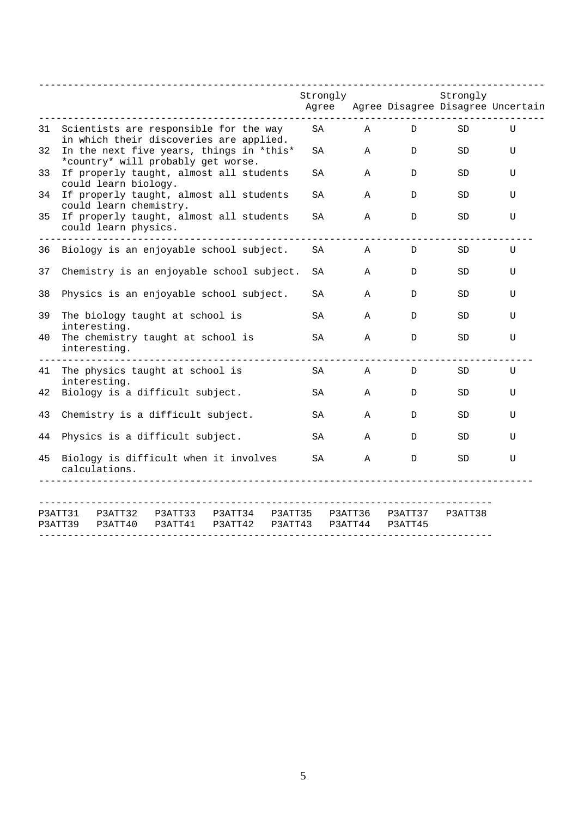|    |                                                                                |                                                                                           |                    |                    |                    | Strongly<br>Agree |                    |                    | Strongly | Agree Disagree Disagree Uncertain |
|----|--------------------------------------------------------------------------------|-------------------------------------------------------------------------------------------|--------------------|--------------------|--------------------|-------------------|--------------------|--------------------|----------|-----------------------------------|
|    |                                                                                |                                                                                           |                    |                    |                    |                   |                    |                    |          |                                   |
| 31 |                                                                                | Scientists are responsible for the way<br>in which their discoveries are applied.         |                    |                    |                    | SA                | Α                  | D                  | SD.      | U                                 |
| 32 | In the next five years, things in *this*<br>*country* will probably get worse. |                                                                                           |                    |                    | SA                 | A                 | D                  | SD.                | U        |                                   |
| 33 |                                                                                | If properly taught, almost all students<br>could learn biology.                           |                    |                    |                    | SA                | Α                  | D                  | SD.      | U                                 |
| 34 |                                                                                | If properly taught, almost all students                                                   |                    |                    |                    | SA                | Α                  | D                  | SD       | U                                 |
| 35 |                                                                                | could learn chemistry.<br>If properly taught, almost all students<br>could learn physics. |                    |                    |                    | SΑ                | $\mathbf{A}$       | D                  | SD       | U                                 |
| 36 |                                                                                | Biology is an enjoyable school subject.                                                   |                    |                    |                    | SA                | A                  | D                  | SD.      | U                                 |
| 37 |                                                                                | Chemistry is an enjoyable school subject.                                                 |                    |                    |                    | SA                | A                  | D                  | SD.      | U                                 |
| 38 |                                                                                | Physics is an enjoyable school subject.                                                   |                    |                    |                    | SΑ                | Α                  | D                  | SD       | U                                 |
| 39 |                                                                                | The biology taught at school is<br>interesting.                                           |                    |                    |                    | SA                | Α                  | D                  | SD       | U                                 |
| 40 |                                                                                | The chemistry taught at school is<br>interesting.                                         |                    |                    |                    | SA                | A                  | D                  | SD       | U                                 |
| 41 |                                                                                | The physics taught at school is                                                           |                    |                    |                    | SA                | Α                  | D                  | SD       | U                                 |
| 42 |                                                                                | interesting.<br>Biology is a difficult subject.                                           |                    |                    |                    | SA                | Α                  | D                  | SD       | U                                 |
| 43 |                                                                                | Chemistry is a difficult subject.                                                         |                    |                    |                    | SA                | Α                  | D                  | SD       | U                                 |
| 44 | Physics is a difficult subject.                                                |                                                                                           |                    |                    | SA                 | A                 | D                  | SD                 | U        |                                   |
| 45 | Biology is difficult when it involves<br>calculations.                         |                                                                                           |                    |                    |                    | SA                | Α                  | D                  | SD       | U                                 |
|    |                                                                                |                                                                                           |                    |                    |                    |                   |                    |                    |          |                                   |
|    | P3ATT31<br>P3ATT39                                                             | P3ATT32<br>P3ATT40                                                                        | P3ATT33<br>P3ATT41 | P3ATT34<br>P3ATT42 | P3ATT35<br>P3ATT43 |                   | P3ATT36<br>P3ATT44 | P3ATT37<br>P3ATT45 | P3ATT38  |                                   |